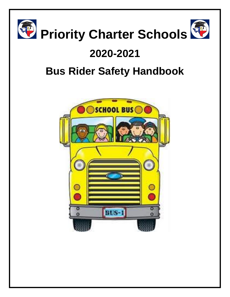

# **2020-2021**

# **Bus Rider Safety Handbook**

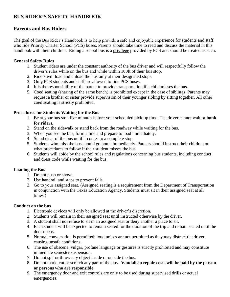# **BUS RIDER'S SAFETY HANDBOOK**

# **Parents and Bus Riders**

The goal of the Bus Rider's Handbook is to help provide a safe and enjoyable experience for students and staff who ride Priority Charter School (PCS) buses. Parents should take time to read and discuss the material in this handbook with their children. Riding a school bus is a privilege provided by PCS and should be treated as such.

#### **General Safety Rules**

- 1. Student riders are under the constant authority of the bus driver and will respectfully follow the driver's rules while on the bus and while within 100ft of their bus stop.
- 2. Riders will load and unload the bus only at their designated stops.
- 3. Only PCS students and staff are allowed to ride PCS buses.
- 4. It is the responsibility of the parent to provide transportation if a child misses the bus.
- 5. Coed seating (sharing of the same bench) is prohibited except in the case of siblings. Parents may request a brother or sister provide supervision of their younger sibling by sitting together. All other coed seating is strictly prohibited.

#### **Procedures for Students Waiting for the Bus**

- 1. Be at your bus stop five minutes before your scheduled pick-up time. The driver cannot wait or **honk for riders.**
- 2. Stand on the sidewalk or stand back from the roadway while waiting for the bus.
- 3. When you see the bus, form a line and prepare to load immediately.
- 4. Stand clear of the bus until it comes to a complete stop.
- 5. Students who miss the bus should go home immediately. Parents should instruct their children on what procedures to follow if their student misses the bus.
- 6. Students will abide by the school rules and regulations concerning bus students, including conduct and dress code while waiting for the bus.

#### **Loading the Bus**

- 1. Do not push or shove.
- 2. Use handrail and steps to prevent falls.
- 3. Go to your assigned seat. (Assigned seating is a requirement from the Department of Transportation in conjunction with the Texas Education Agency. Students must sit in their assigned seat at all times.)

#### **Conduct on the bus**

- 1. Electronic devices will only be allowed at the driver's discretion.
- 2. Students will remain in their assigned seat until instructed otherwise by the driver.
- 3. A student shall not refuse to sit in an assigned seat or deny another a place to sit.
- 4. Each student will be expected to remain seated for the duration of the trip and remain seated until the door opens.
- 5. Normal conversation is permitted; loud noises are not permitted as they may distract the driver, causing unsafe conditions.
- 6. The use of obscene, vulgar, profane language or gestures is strictly prohibited and may constitute immediate semester suspension.
- 7. Do not spit or throw any object inside or outside the bus.
- 8. Do not mark, cut or scratch any part of the bus. **Vandalism repair costs will be paid by the person or persons who are responsible.**
- 9. The emergency door and exit controls are only to be used during supervised drills or actual emergencies.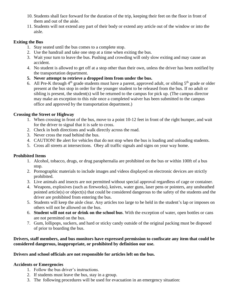- 10. Students shall face forward for the duration of the trip, keeping their feet on the floor in front of them and out of the aisle.
- 11. Students will not extend any part of their body or extend any article out of the window or into the aisle.

#### **Exiting the Bus**

- 1. Stay seated until the bus comes to a complete stop.
- 2. Use the handrail and take one step at a time when exiting the bus.
- 3. Wait your turn to leave the bus. Pushing and crowding will only slow exiting and may cause an accident.
- 4. No student is allowed to get off at a stop other than their own, unless the driver has been notified by the transportation department.
- **5. Never attempt to retrieve a dropped item from under the bus.**
- 6. All Pre-K through 4<sup>th</sup> grade students must have a parent, approved adult, or sibling 5<sup>th</sup> grade or older present at the bus stop in order for the younger student to be released from the bus. If no adult or sibling is present, the student(s) will be returned to the campus for pick up. (The campus director may make an exception to this rule once a completed waiver has been submitted to the campus office and approved by the transportation department.)

# **Crossing the Street or Highway**

- 1. When crossing in front of the bus, move to a point 10-12 feet in front of the right bumper, and wait for the driver to signal that it is safe to cross.
- 2. Check in both directions and walk directly across the road.
- 3. Never cross the road behind the bus.
- 4. CAUTION! Be alert for vehicles that do not stop when the bus is loading and unloading students.
- 5. Cross all streets at intersections. Obey all traffic signals and signs on your way home.

# **Prohibited Items**

- 1. Alcohol, tobacco, drugs, or drug paraphernalia are prohibited on the bus or within 100ft of a bus stop.
- 2. Pornographic materials to include images and videos displayed on electronic devices are strictly prohibited.
- 3. Live animals and insects are not permitted without special approval regardless of cage or container.
- 4. Weapons, explosives (such as fireworks), knives, water guns, laser pens or pointers, any unsheathed pointed article(s) or object(s) that could be considered dangerous to the safety of the students and the driver are prohibited from entering the bus.
- 5. Students will keep the aisle clear. Any articles too large to be held in the student's lap or imposes on others will not be allowed on the bus.
- 6. **Student will not eat or drink on the school bus**. With the exception of water, open bottles or cans are not permitted on the bus.
- 7. Gum, lollipops, suckers, and hard or sticky candy outside of the original packing must be disposed of prior to boarding the bus.

#### **Drivers, staff members, and bus monitors have expressed permission to confiscate any item that could be considered dangerous, inappropriate, or prohibited by definition our use.**

# **Drivers and school officials are not responsible for articles left on the bus.**

# **Accidents or Emergencies**

- 1. Follow the bus driver's instructions.
- 2. If students must leave the bus, stay in a group.
- 3. The following procedures will be used for evacuation in an emergency situation: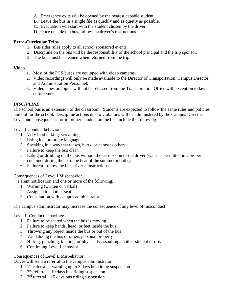- A. Emergency exits will be opened by the nearest capable student.
- B. Leave the bus in a single file as quickly and as quietly as possible.
- C. Evacuation will start with the student chosen by the driver.
- D. Once outside the bus, follow the driver's instructions.

#### **Extra-Curricular Trips**

- 1. Bus rider rules apply to all school sponsored events.
- 2. Discipline on the bus will be the responsibility of the school principal and the trip sponsor.
- 3. The bus must be cleaned when returned from the trip.

#### **Video**

- 1. Most of the PCS buses are equipped with video cameras.
- 2. Video recordings will only be made available to the Director of Transportation, Campus Director, and Administration Personnel.
- 3. Video tapes or copies will not be released from the Transportation Office with exception to law enforcement.

#### *DISCIPLINE*

The school bus is an extension of the classroom. Students are expected to follow the same rules and policies laid out for the school. Discipline actions due to violations will be administered by the Campus Director. Level and consequences for improper conduct on the bus include the following:

Level I Conduct behaviors:

- 1. Very loud talking, screaming
- 2. Using inappropriate language
- 3. Speaking in a way that teases, hurts, or harasses others
- 4. Failure to keep the bus clean
- 5. Eating or drinking on the bus without the permission of the driver (water is permitted in a proper container during the extreme heat of the summer months)
- 6. Failure to follow the bus driver's instructions

#### Consequences of Level I Misbehavior

Parent notification and one or more of the following:

- 1. Warning (written or verbal)
- 2. Assigned to another seat
- 3. Consultation with campus administrator

The campus administrator may increase the consequence of any level of misconduct.

#### Level II Conduct behaviors:

- 1. Failure to be seated when the bus is moving
- 2. Failure to keep hands, head, or feet inside the bus
- 3. Throwing any object inside the bus or out of the bus
- 4. Vandalizing the bus or others personal property
- 5. Hitting, punching, kicking, or physically assaulting another student or driver
- 6. Continuing Level I behavior

#### Consequences of Level II Misbehavior

Driver will send a referral to the campus administrator

- 1.  $1<sup>st</sup>$  referral warning up to 3 days bus riding suspension
- 2.  $2<sup>nd</sup>$  referral 10 days bus riding suspension
- 3.  $3<sup>rd</sup>$  referral 15 days bus riding suspension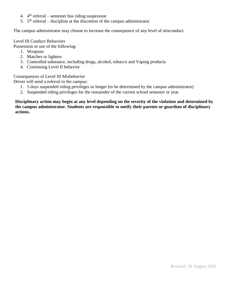- 4.  $4<sup>th</sup>$  referral semester bus riding suspension
- 5.  $5<sup>th</sup>$  referral discipline at the discretion of the campus administrator

The campus administrator may choose to increase the consequence of any level of misconduct.

#### Level III Conduct Behaviors

Possession or use of the following:

- 1. Weapons
- 2. Matches or lighters
- 3. Controlled substance, including drugs, alcohol, tobacco and Vaping products
- 4. Continuing Level II behavior

Consequences of Level III Misbehavior

Driver will send a referral to the campus:

- 1. 5 days suspended riding privileges or longer (to be determined by the campus administrator)
- 2. Suspended riding privileges for the remainder of the current school semester or year

**Disciplinary action may begin at any level depending on the severity of the violation and determined by the campus administrator. Students are responsible to notify their parents or guardian of disciplinary actions.**